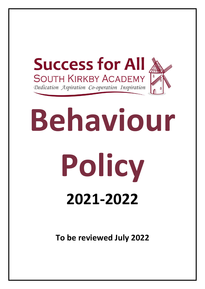

# **Behaviour Policy 2021-2022**

**To be reviewed July 2022**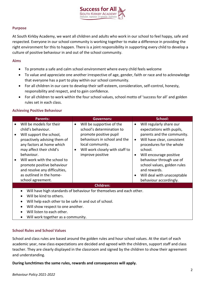

#### **Purpose**

At South Kirkby Academy, we want all children and adults who work in our school to feel happy, safe and respected. Everyone in our school community is working together to make a difference in providing the right environment for this to happen. There is a joint responsibility in supporting every child to develop a culture of positive behaviour in and out of the school community.

### **Aims**

- To promote a safe and calm school environment where every child feels welcome
- To value and appreciate one another irrespective of age, gender, faith or race and to acknowledge that everyone has a part to play within our school community.
- For all children in our care to develop their self-esteem, consideration, self-control, honesty, responsibility and respect, and to gain confidence.
- For all children to work within the four school values, school motto of 'success for all' and golden rules set in each class.

### **Achieving Positive Behaviour**

| <b>Parents:</b>                                                                                                                                                                                                                                                                                              | Governors:                                                                                                                                                                                                            | School:                                                                                                                                                                                                                                                                                                     |
|--------------------------------------------------------------------------------------------------------------------------------------------------------------------------------------------------------------------------------------------------------------------------------------------------------------|-----------------------------------------------------------------------------------------------------------------------------------------------------------------------------------------------------------------------|-------------------------------------------------------------------------------------------------------------------------------------------------------------------------------------------------------------------------------------------------------------------------------------------------------------|
| Will be models for their<br>child's behaviour.<br>Will support the school,<br>proactively advising them of<br>any factors at home which<br>may affect their child's<br>behaviour.<br>Will work with the school to<br>promote positive behaviour<br>and resolve any difficulties,<br>as outlined in the home- | Will be supportive of the<br>$\bullet$<br>school's determination to<br>promote positive pupil<br>behaviours in school and the<br>local community.<br>Will work closely with staff to<br>$\bullet$<br>improve positive | Will regularly share our<br>$\bullet$<br>expectations with pupils,<br>parents and the community.<br>Will have clear, consistent<br>procedures for the whole<br>school.<br>Will encourage positive<br>behaviour through use of<br>school values, golden rules<br>and rewards.<br>Will deal with unacceptable |
| school agreement.                                                                                                                                                                                                                                                                                            |                                                                                                                                                                                                                       | behaviour accordingly.                                                                                                                                                                                                                                                                                      |
| <b>Children:</b>                                                                                                                                                                                                                                                                                             |                                                                                                                                                                                                                       |                                                                                                                                                                                                                                                                                                             |
| $\bullet$<br>Will be kind to others.<br>Will show respect to one another.<br>Will listen to each other.                                                                                                                                                                                                      | Will have high standards of behaviour for themselves and each other.<br>Will help each other to be safe in and out of school.                                                                                         |                                                                                                                                                                                                                                                                                                             |

• Will work together as a community.

### **School Rules and School Values**

School and class rules are based around the golden rules and hour school values. At the start of each academic year, new class expectations are decided and agreed with the children, support staff and class teacher. They are clearly displayed in the classroom and signed by the children to show their agreement and understanding.

**During lunchtimes the same rules, rewards and consequences will apply.**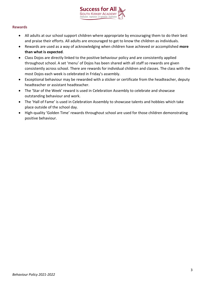

### **Rewards**

- All adults at our school support children where appropriate by encouraging them to do their best and praise their efforts. All adults are encouraged to get to know the children as individuals.
- Rewards are used as a way of acknowledging when children have achieved or accomplished **more than what is expected**.
- Class Dojos are directly linked to the positive behaviour policy and are consistently applied throughout school. A set 'menu' of Dojos has been shared with all staff so rewards are given consistently across school. There are rewards for individual children and classes. The class with the most Dojos each week is celebrated in Friday's assembly.
- Exceptional behaviour may be rewarded with a sticker or certificate from the headteacher, deputy headteacher or assistant headteacher.
- The 'Star of the Week' reward is used in Celebration Assembly to celebrate and showcase outstanding behaviour and work.
- The 'Hall of Fame' is used in Celebration Assembly to showcase talents and hobbies which take place outside of the school day.
- High-quality 'Golden Time' rewards throughout school are used for those children demonstrating positive behaviour.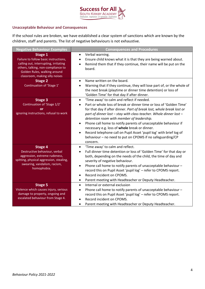

### **Unacceptable Behaviour and Consequences**

If the school rules are broken, we have established a clear system of sanctions which are known by the children, staff and parents. The list of negative behaviours is not exhaustive.

| <b>Negative Behaviour Examples</b>                                                                                                                                                                | <b>Consequences and Procedures</b>                                                                                                                                                                                                                                                                                                                                                                                                                                                                                                                                                                                                  |
|---------------------------------------------------------------------------------------------------------------------------------------------------------------------------------------------------|-------------------------------------------------------------------------------------------------------------------------------------------------------------------------------------------------------------------------------------------------------------------------------------------------------------------------------------------------------------------------------------------------------------------------------------------------------------------------------------------------------------------------------------------------------------------------------------------------------------------------------------|
| Stage 1<br>Failure to follow basic instructions,<br>calling out, interrupting, irritating<br>others, talking, non-compliance to<br>Golden Rules, walking around<br>classroom, making silly noises | Verbal warning.<br>$\bullet$<br>Ensure child knows what it is that they are being warned about.<br>Remind them that if they continue, their name will be put on the<br>board.                                                                                                                                                                                                                                                                                                                                                                                                                                                       |
| <b>Stage 2</b><br>Continuation of 'Stage 1'                                                                                                                                                       | Name written on the board.<br>$\bullet$<br>Warning that if they continue, they will lose part of, or the whole of<br>the next break (playtime or dinner time detention) or loss of<br>'Golden Time' for that day if after dinner.                                                                                                                                                                                                                                                                                                                                                                                                   |
| <b>Stage 3</b><br>Continuation of 'Stage 1/2'<br>or<br>ignoring instructions, refusal to work                                                                                                     | 'Time away' to calm and reflect if needed.<br>$\bullet$<br>Part or whole loss of break or dinner time or loss of 'Golden Time'<br>$\bullet$<br>for that day if after dinner. Part of break lost, whole break lost or<br>part of dinner lost - stay with class teacher. Whole dinner lost -<br>detention room with member of leadership.<br>Phone call home to notify parents of unacceptable behaviour if<br>$\bullet$<br>necessary e.g. loss of whole break or dinner.<br>Record telephone call on Pupil Asset 'pupil log' with brief log of<br>$\bullet$<br>behaviour - no need to put on CPOMS if no safeguarding/CP<br>concern. |
| <b>Stage 4</b><br>Destructive behaviour, verbal<br>aggression, extreme rudeness,<br>spitting, physical aggression, stealing,<br>swearing, vandalism, racism,<br>homophobia.                       | 'Time away' to calm and reflect.<br>$\bullet$<br>Full dinner time detention or loss of 'Golden Time' for that day or<br>both, depending on the needs of the child, the time of day and<br>severity of negative behaviour.<br>Phone call home to notify parents of unacceptable behaviour -<br>$\bullet$<br>record this on Pupil Asset 'pupil log' - refer to CPOMS report.<br>Record incident on CPOMS.<br>$\bullet$<br>Parent meeting with Headteacher or Deputy Headteacher.<br>$\bullet$                                                                                                                                         |
| <b>Stage 5</b><br>Violence which causes injury, serious<br>damage to property, ongoing and<br>escalated behaviour from Stage 4.                                                                   | Internal or external exclusion<br>$\bullet$<br>Phone call home to notify parents of unacceptable behaviour -<br>$\bullet$<br>record this on Pupil Asset 'pupil log' - refer to CPOMS report.<br>Record incident on CPOMS.<br>Parent meeting with Headteacher or Deputy Headteacher.<br>$\bullet$                                                                                                                                                                                                                                                                                                                                    |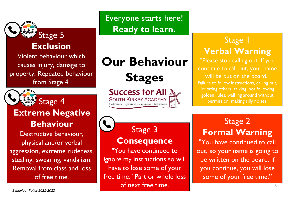

# **Exclusion**

Violent behaviour which causes injury, damage to property. Repeated behaviour from Stage 4.



Stage 4

### **Extreme Negative Behaviour**

Destructive behaviour, physical and/or verbal aggression, extreme rudeness, stealing, swearing, vandalism. Removal from class and loss of free time.

# **Our Behaviour**

**Stages**

**Success for All SOUTH KIRKBY ACADEMY** Dedication Aspiration Co-operation Inspiration



# Stage 3

**Consequence**

"You have continued to ignore my instructions so will have to lose some of your free time." Part or whole loss of next free time.

### Stage 1 **Verbal Warning**

"Please stop calling out. If you continue to call out, your name will be put on the board." Failure to follow instructions, calling out, irritating others, talking, not following golden rules, walking around without permission, making silly noises.

# Stage 2 **Formal Warning**

"You have continued to call out, so your name is going to be written on the board. If you continue, you will lose some of your free time."